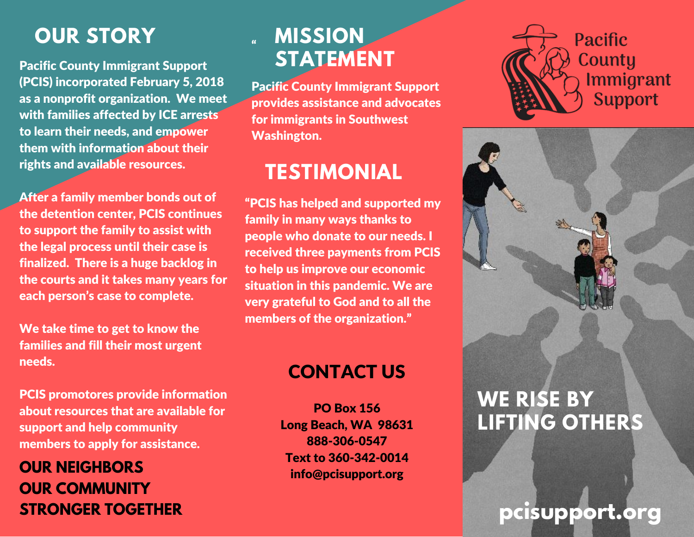# **OUR STORY**

Pacific County Immigrant Support (PCIS) incorporated February 5, 2018 as a nonprofit organization. We meet with families affected by ICE arrests to learn their needs, and empower them with information about their rights and available resources.

After a family member bonds out of the detention center, PCIS continues to support the family to assist with the legal process until their case is finalized. There is a huge backlog in the courts and it takes many years for each person's case to complete.

We take time to get to know the families and fill their most urgent needs.

PCIS promotores provide information about resources that are available for support and help community members to apply for assistance.

**OUR NEIGHBORS OUR COMMUNITY**

#### "<br>"" **MISSION STATEMENT**

Pacific County Immigrant Support provides assistance and advocates for immigrants in Southwest Washington.

# **TESTIMONIAL**

"PCIS has helped and supported my family in many ways thanks to people who donate to our needs. I received three payments from PCIS to help us improve our economic situation in this pandemic. We are very grateful to God and to all the members of the organization."

#### CONTACT US

PO Box 156 Long Beach, WA 98631 888-306-0547 Text to 360-342-0014 info@pcisupport.org





# **WE RISE BY LIFTING OTHERS**

# **STRONGER TOGETHER** *pcisupport.org*